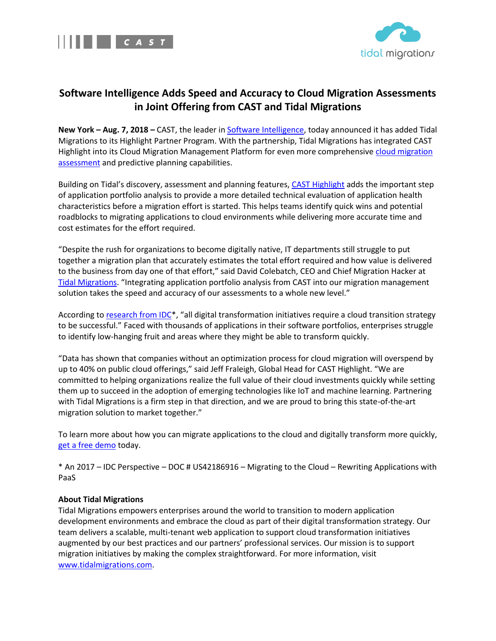



## **Software Intelligence Adds Speed and Accuracy to Cloud Migration Assessments in Joint Offering from CAST and Tidal Migrations**

**New York – Aug. 7, 2018 –** CAST, the leader i[n Software Intelligence,](https://www.castsoftware.com/software-intelligence) today announced it has added Tidal Migrations to its Highlight Partner Program. With the partnership, Tidal Migrations has integrated CAST Highlight into its Cloud Migration Management Platform for even more comprehensive [cloud migration](https://www.castsoftware.com/glossary/cloud-migration-assessment)  [assessment](https://www.castsoftware.com/glossary/cloud-migration-assessment) and predictive planning capabilities.

Building on Tidal's discovery, assessment and planning features, [CAST Highlight](https://www.castsoftware.com/products/highlight) adds the important step of application portfolio analysis to provide a more detailed technical evaluation of application health characteristics before a migration effort is started. This helps teams identify quick wins and potential roadblocks to migrating applications to cloud environments while delivering more accurate time and cost estimates for the effort required.

"Despite the rush for organizations to become digitally native, IT departments still struggle to put together a migration plan that accurately estimates the total effort required and how value is delivered to the business from day one of that effort," said David Colebatch, CEO and Chief Migration Hacker at [Tidal Migrations](https://tidalmigrations.com/). "Integrating application portfolio analysis from CAST into our migration management solution takes the speed and accuracy of our assessments to a whole new level."

According to research from IDC<sup>\*</sup>, "all digital transformation initiatives require a cloud transition strategy to be successful." Faced with thousands of applications in their software portfolios, enterprises struggle to identify low-hanging fruit and areas where they might be able to transform quickly.

"Data has shown that companies without an optimization process for cloud migration will overspend by up to 40% on public cloud offerings," said Jeff Fraleigh, Global Head for CAST Highlight. "We are committed to helping organizations realize the full value of their cloud investments quickly while setting them up to succeed in the adoption of emerging technologies like IoT and machine learning. Partnering with Tidal Migrations is a firm step in that direction, and we are proud to bring this state-of-the-art migration solution to market together."

To learn more about how you can migrate applications to the cloud and digitally transform more quickly, [get a free](https://tidalmigrations.com/cloud-native-migrations/) demo today.

\* An 2017 – IDC Perspective – DOC # US42186916 – Migrating to the Cloud – Rewriting Applications with PaaS

## **About Tidal Migrations**

Tidal Migrations empowers enterprises around the world to transition to modern application development environments and embrace the cloud as part of their digital transformation strategy. Our team delivers a scalable, multi-tenant web application to support cloud transformation initiatives augmented by our best practices and our partners' professional services. Our mission is to support migration initiatives by making the complex straightforward. For more information, visit [www.tidalmigrations.com.](http://www.tidalmigrations.com/)